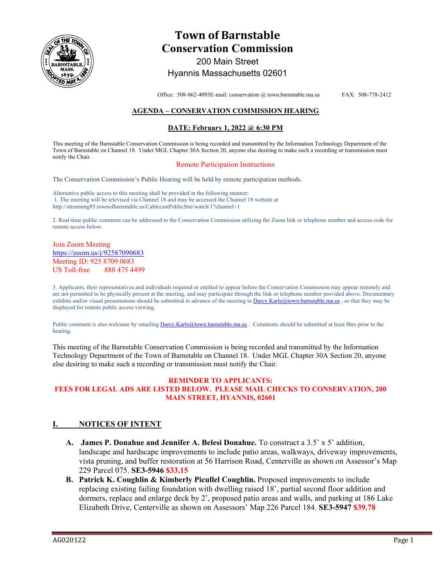

# **Town of Barnstable Conservation Commission**  200 Main Street

# Hyannis Massachusetts 02601

Office: 508-862-4093E-mail: conservation @ town.barnstable.ma.us FAX: 508-778-2412

## **AGENDA – CONSERVATION COMMISSION HEARING**

### **DATE: February 1, 2022 @ 6:30 PM**

This meeting of the Barnstable Conservation Commission is being recorded and transmitted by the Information Technology Department of the Town of Barnstable on Channel 18. Under MGL Chapter 30A Section 20, anyone else desiring to make such a recording or transmission must notify the Chair.

#### Remote Participation Instructions

The Conservation Commission's Public Hearing will be held by remote participation methods.

Alternative public access to this meeting shall be provided in the following manner: 1. The meeting will be televised via Channel 18 and may be accessed the Channel 18 website at http://streaming85.townofbarnstable.us/CablecastPublicSite/watch/1?channel=1

2. Real-time public comment can be addressed to the Conservation Commission utilizing the Zoom link or telephone number and access code for remote access below.

#### Join Zoom Meeting https://zoom.us/j/92587090683 Meeting ID: 925 8709 0683 US Toll-free 888 475 4499

3. Applicants, their representatives and individuals required or entitled to appear before the Conservation Commission may appear remotely and are not permitted to be physically present at the meeting, and may participate through the link or telephone number provided above. Documentary exhibits and/or visual presentations should be submitted in advance of the meeting to Darcy.Karle@town.barnstable.ma.us, so that they may be displayed for remote public access viewing.

Public comment is also welcome by emailing Darcy.Karle@town.barnstable.ma.us. Comments should be submitted at least 8hrs prior to the hearing.

This meeting of the Barnstable Conservation Commission is being recorded and transmitted by the Information Technology Department of the Town of Barnstable on Channel 18. Under MGL Chapter 30A Section 20, anyone else desiring to make such a recording or transmission must notify the Chair.

#### **REMINDER TO APPLICANTS: FEES FOR LEGAL ADS ARE LISTED BELOW. PLEASE MAIL CHECKS TO CONSERVATION, 200 MAIN STREET, HYANNIS, 02601**

# **I. NOTICES OF INTENT**

- **A. James P. Donahue and Jennifer A. Belesi Donahue.** To construct a 3.5' x 5' addition, landscape and hardscape improvements to include patio areas, walkways, driveway improvements, vista pruning, and buffer restoration at 56 Harrison Road, Centerville as shown on Assessor's Map 229 Parcel 075. **SE3-5946 \$33.15**
- **B. Patrick K. Coughlin & Kimberly Picullel Coughlin.** Proposed improvements to include replacing existing failing foundation with dwelling raised 18', partial second floor addition and dormers, replace and enlarge deck by 2', proposed patio areas and walls, and parking at 186 Lake Elizabeth Drive, Centerville as shown on Assessors' Map 226 Parcel 184. **SE3-5947 \$39.78**